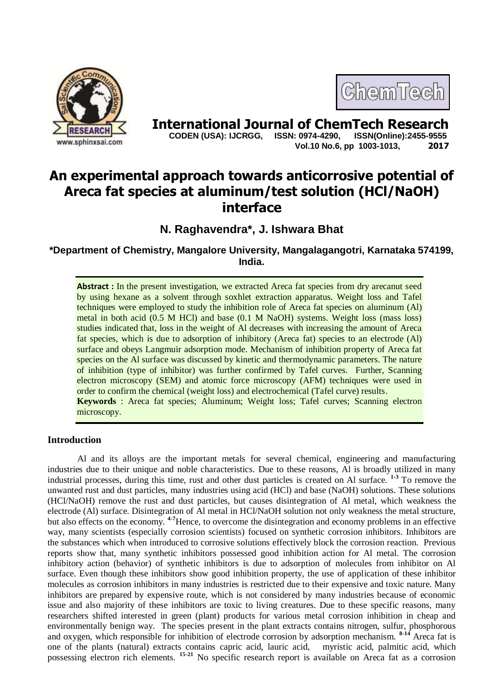

# **International Journal of ChemTech Research**<br>CODEN (USA): IJCRGG. ISSN: 0974-4290. ISSN(Online):2455-9555

 **CODEN (USA): IJCRGG, ISSN: 0974-4290, Vol.10 No.6, pp 1003-1013, 2017**

ChemTech

### **An experimental approach towards anticorrosive potential of Areca fat species at aluminum/test solution (HCl/NaOH) interface**

**N. Raghavendra\*, J. Ishwara Bhat**

**\*Department of Chemistry, Mangalore University, Mangalagangotri, Karnataka 574199, India.**

Abstract : In the present investigation, we extracted Areca fat species from dry arecanut seed by using hexane as a solvent through soxhlet extraction apparatus. Weight loss and Tafel techniques were employed to study the inhibition role of Areca fat species on aluminum (Al) metal in both acid (0.5 M HCl) and base (0.1 M NaOH) systems. Weight loss (mass loss) studies indicated that, loss in the weight of Al decreases with increasing the amount of Areca fat species, which is due to adsorption of inhibitory (Areca fat) species to an electrode (Al) surface and obeys Langmuir adsorption mode. Mechanism of inhibition property of Areca fat species on the Al surface was discussed by kinetic and thermodynamic parameters. The nature of inhibition (type of inhibitor) was further confirmed by Tafel curves. Further, Scanning electron microscopy (SEM) and atomic force microscopy (AFM) techniques were used in order to confirm the chemical (weight loss) and electrochemical (Tafel curve) results. **Keywords** : Areca fat species; Aluminum; Weight loss; Tafel curves; Scanning electron microscopy.

### **Introduction**

Al and its alloys are the important metals for several chemical, engineering and manufacturing industries due to their unique and noble characteristics. Due to these reasons, Al is broadly utilized in many industrial processes, during this time, rust and other dust particles is created on Al surface. **1-3** To remove the unwanted rust and dust particles, many industries using acid (HCl) and base (NaOH) solutions. These solutions (HCl/NaOH) remove the rust and dust particles, but causes disintegration of Al metal, which weakness the electrode (Al) surface. Disintegration of Al metal in HCl/NaOH solution not only weakness the metal structure, but also effects on the economy. **4-7**Hence, to overcome the disintegration and economy problems in an effective way, many scientists (especially corrosion scientists) focused on synthetic corrosion inhibitors. Inhibitors are the substances which when introduced to corrosive solutions effectively block the corrosion reaction. Previous reports show that, many synthetic inhibitors possessed good inhibition action for Al metal. The corrosion inhibitory action (behavior) of synthetic inhibitors is due to adsorption of molecules from inhibitor on Al surface. Even though these inhibitors show good inhibition property, the use of application of these inhibitor molecules as corrosion inhibitors in many industries is restricted due to their expensive and toxic nature. Many inhibitors are prepared by expensive route, which is not considered by many industries because of economic issue and also majority of these inhibitors are toxic to living creatures. Due to these specific reasons, many researchers shifted interested in green (plant) products for various metal corrosion inhibition in cheap and environmentally benign way. The species present in the plant extracts contains nitrogen, sulfur, phosphorous and oxygen, which responsible for inhibition of electrode corrosion by adsorption mechanism. **8-14** Areca fat is one of the plants (natural) extracts contains capric acid, lauric acid, myristic acid, palmitic acid, which possessing electron rich elements. **15-21** No specific research report is available on Areca fat as a corrosion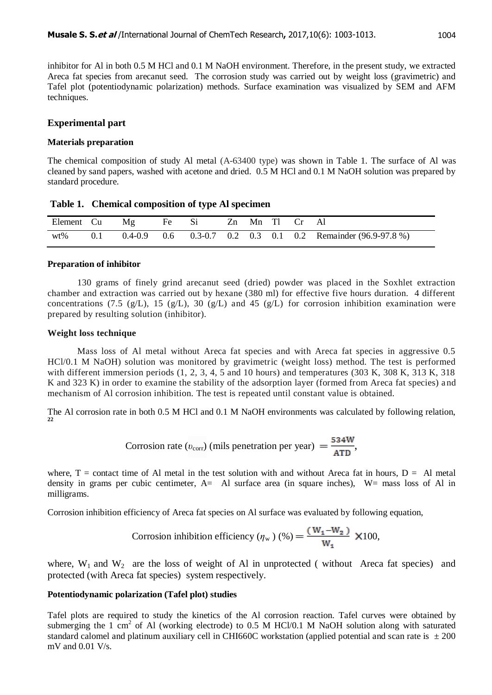inhibitor for Al in both 0.5 M HCl and 0.1 M NaOH environment. Therefore, in the present study, we extracted Areca fat species from arecanut seed. The corrosion study was carried out by weight loss (gravimetric) and Tafel plot (potentiodynamic polarization) methods. Surface examination was visualized by SEM and AFM techniques.

#### **Experimental part**

#### **Materials preparation**

The chemical composition of study Al metal (A-63400 type) was shown in Table 1. The surface of Al was cleaned by sand papers, washed with acetone and dried. 0.5 M HCl and 0.1 M NaOH solution was prepared by standard procedure.

| Table 1. Chemical composition of type Al specimen |  |                                    |  |  |  |  |  |  |  |
|---------------------------------------------------|--|------------------------------------|--|--|--|--|--|--|--|
|                                                   |  | Element Cu Mg Fe Si Zn Mn Tl Cr Al |  |  |  |  |  |  |  |

wt% 0.1 0.4-0.9 0.6 0.3-0.7 0.2 0.3 0.1 0.2 Remainder (96.9-97.8 %)

## **Preparation of inhibitor**

130 grams of finely grind arecanut seed (dried) powder was placed in the Soxhlet extraction chamber and extraction was carried out by hexane (380 ml) for effective five hours duration. 4 different concentrations (7.5 (g/L), 15 (g/L), 30 (g/L) and 45 (g/L) for corrosion inhibition examination were prepared by resulting solution (inhibitor).

#### **Weight loss technique**

Mass loss of Al metal without Areca fat species and with Areca fat species in aggressive 0.5 HCl/0.1 M NaOH) solution was monitored by gravimetric (weight loss) method. The test is performed with different immersion periods  $(1, 2, 3, 4, 5, 10, 10, 10, 10)$  and temperatures  $(303 \text{ K}, 308 \text{ K}, 313 \text{ K}, 318, 10, 10)$ K and 323 K) in order to examine the stability of the adsorption layer (formed from Areca fat species) and mechanism of Al corrosion inhibition. The test is repeated until constant value is obtained.

The Al corrosion rate in both 0.5 M HCl and 0.1 M NaOH environments was calculated by following relation, **22**

Corrosion rate 
$$
(v_{\text{corr}})
$$
 (mils penetration per year) =  $\frac{534W}{ATD}$ ,

where,  $T =$  contact time of Al metal in the test solution with and without Areca fat in hours,  $D =$  Al metal density in grams per cubic centimeter, A= Al surface area (in square inches), W= mass loss of Al in milligrams.

Corrosion inhibition efficiency of Areca fat species on Al surface was evaluated by following equation,

Corrosion inhibition efficiency 
$$
(\eta_w) (\%) = \frac{(W_1 - W_2)}{W_1}
$$
 × 100,

where,  $W_1$  and  $W_2$  are the loss of weight of Al in unprotected (without Areca fat species) and protected (with Areca fat species) system respectively.

#### **Potentiodynamic polarization (Tafel plot) studies**

Tafel plots are required to study the kinetics of the Al corrosion reaction. Tafel curves were obtained by submerging the 1 cm<sup>2</sup> of Al (working electrode) to 0.5 M HCl/0.1 M NaOH solution along with saturated standard calomel and platinum auxiliary cell in CHI660C workstation (applied potential and scan rate is  $\pm 200$ mV and 0.01 V/s.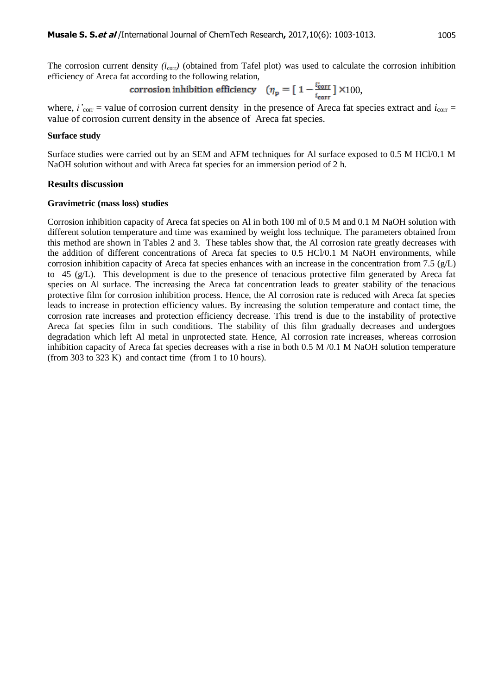The corrosion current density  $(i_{\text{corr}})$  (obtained from Tafel plot) was used to calculate the corrosion inhibition efficiency of Areca fat according to the following relation,

corrosion inhibition efficiency 
$$
(\eta_p = [1 - \frac{i_{corr}}{i_{corr}}] \times 100,
$$

where,  $i'_{corr}$  = value of corrosion current density in the presence of Areca fat species extract and  $i_{corr}$  = value of corrosion current density in the absence of Areca fat species.

#### **Surface study**

Surface studies were carried out by an SEM and AFM techniques for Al surface exposed to 0.5 M HCl/0.1 M NaOH solution without and with Areca fat species for an immersion period of 2 h.

#### **Results discussion**

#### **Gravimetric (mass loss) studies**

Corrosion inhibition capacity of Areca fat species on Al in both 100 ml of 0.5 M and 0.1 M NaOH solution with different solution temperature and time was examined by weight loss technique. The parameters obtained from this method are shown in Tables 2 and 3. These tables show that, the Al corrosion rate greatly decreases with the addition of different concentrations of Areca fat species to 0.5 HCl/0.1 M NaOH environments, while corrosion inhibition capacity of Areca fat species enhances with an increase in the concentration from 7.5  $(g/L)$ to 45 (g/L). This development is due to the presence of tenacious protective film generated by Areca fat species on Al surface. The increasing the Areca fat concentration leads to greater stability of the tenacious protective film for corrosion inhibition process. Hence, the Al corrosion rate is reduced with Areca fat species leads to increase in protection efficiency values. By increasing the solution temperature and contact time, the corrosion rate increases and protection efficiency decrease. This trend is due to the instability of protective Areca fat species film in such conditions. The stability of this film gradually decreases and undergoes degradation which left Al metal in unprotected state. Hence, Al corrosion rate increases, whereas corrosion inhibition capacity of Areca fat species decreases with a rise in both 0.5 M /0.1 M NaOH solution temperature (from 303 to 323 K) and contact time (from 1 to 10 hours).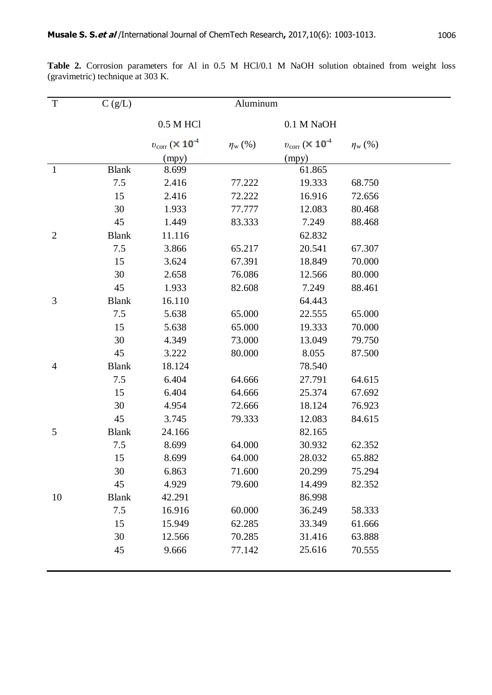| T              | C(g/L)       |                                            | Aluminum           |                                               |                    |  |
|----------------|--------------|--------------------------------------------|--------------------|-----------------------------------------------|--------------------|--|
|                |              | 0.5 M HCl                                  |                    | 0.1 M NaOH                                    |                    |  |
|                |              | $v_{\rm corr}$ ( $\times$ 10 <sup>-4</sup> | $\eta_{\rm w}$ (%) | $v_{\text{corr}}$ ( $\times$ 10 <sup>-4</sup> | $\eta_{\rm w}$ (%) |  |
|                |              | (mpy)                                      |                    | (mpy)                                         |                    |  |
| $\mathbf{1}$   | <b>Blank</b> | 8.699                                      |                    | 61.865                                        |                    |  |
|                | 7.5          | 2.416                                      | 77.222             | 19.333                                        | 68.750             |  |
|                | 15           | 2.416                                      | 72.222             | 16.916                                        | 72.656             |  |
|                | 30           | 1.933                                      | 77.777             | 12.083                                        | 80.468             |  |
|                | 45           | 1.449                                      | 83.333             | 7.249                                         | 88.468             |  |
| $\overline{2}$ | <b>Blank</b> | 11.116                                     |                    | 62.832                                        |                    |  |
|                | 7.5          | 3.866                                      | 65.217             | 20.541                                        | 67.307             |  |
|                | 15           | 3.624                                      | 67.391             | 18.849                                        | 70.000             |  |
|                | 30           | 2.658                                      | 76.086             | 12.566                                        | 80.000             |  |
|                | 45           | 1.933                                      | 82.608             | 7.249                                         | 88.461             |  |
| 3              | <b>Blank</b> | 16.110                                     |                    | 64.443                                        |                    |  |
|                | 7.5          | 5.638                                      | 65.000             | 22.555                                        | 65.000             |  |
|                | 15           | 5.638                                      | 65.000             | 19.333                                        | 70.000             |  |
|                | 30           | 4.349                                      | 73.000             | 13.049                                        | 79.750             |  |
|                | 45           | 3.222                                      | 80.000             | 8.055                                         | 87.500             |  |
| $\overline{4}$ | <b>Blank</b> | 18.124                                     |                    | 78.540                                        |                    |  |
|                | 7.5          | 6.404                                      | 64.666             | 27.791                                        | 64.615             |  |
|                | 15           | 6.404                                      | 64.666             | 25.374                                        | 67.692             |  |
|                | 30           | 4.954                                      | 72.666             | 18.124                                        | 76.923             |  |
|                | 45           | 3.745                                      | 79.333             | 12.083                                        | 84.615             |  |
| 5              | <b>Blank</b> | 24.166                                     |                    | 82.165                                        |                    |  |
|                | 7.5          | 8.699                                      | 64.000             | 30.932                                        | 62.352             |  |
|                | 15           | 8.699                                      | 64.000             | 28.032                                        | 65.882             |  |
|                | 30           | 6.863                                      | 71.600             | 20.299                                        | 75.294             |  |
|                | 45           | 4.929                                      | 79.600             | 14.499                                        | 82.352             |  |
| 10             | <b>Blank</b> | 42.291                                     |                    | 86.998                                        |                    |  |
|                | 7.5          | 16.916                                     | 60.000             | 36.249                                        | 58.333             |  |
|                | 15           | 15.949                                     | 62.285             | 33.349                                        | 61.666             |  |
|                | 30           | 12.566                                     | 70.285             | 31.416                                        | 63.888             |  |
|                | 45           | 9.666                                      | 77.142             | 25.616                                        | 70.555             |  |
|                |              |                                            |                    |                                               |                    |  |

Table 2. Corrosion parameters for Al in 0.5 M HCl/0.1 M NaOH solution obtained from weight loss (gravimetric) technique at 303 K.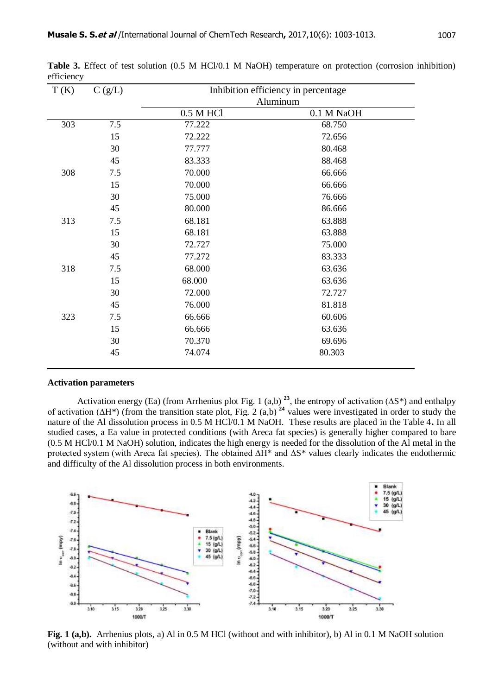| T(K) | C(g/L) | Inhibition efficiency in percentage |            |  |  |  |
|------|--------|-------------------------------------|------------|--|--|--|
|      |        | Aluminum                            |            |  |  |  |
|      |        | 0.5 M HCl                           | 0.1 M NaOH |  |  |  |
| 303  | 7.5    | 77.222                              | 68.750     |  |  |  |
|      | 15     | 72.222                              | 72.656     |  |  |  |
|      | 30     | 77.777                              | 80.468     |  |  |  |
|      | 45     | 83.333                              | 88.468     |  |  |  |
| 308  | 7.5    | 70.000                              | 66.666     |  |  |  |
|      | 15     | 70.000                              | 66.666     |  |  |  |
|      | 30     | 75.000                              | 76.666     |  |  |  |
|      | 45     | 80.000                              | 86.666     |  |  |  |
| 313  | 7.5    | 68.181                              | 63.888     |  |  |  |
|      | 15     | 68.181                              | 63.888     |  |  |  |
|      | 30     | 72.727                              | 75.000     |  |  |  |
|      | 45     | 77.272                              | 83.333     |  |  |  |
| 318  | 7.5    | 68.000                              | 63.636     |  |  |  |
|      | 15     | 68.000                              | 63.636     |  |  |  |
|      | 30     | 72.000                              | 72.727     |  |  |  |
|      | 45     | 76.000                              | 81.818     |  |  |  |
| 323  | 7.5    | 66.666                              | 60.606     |  |  |  |
|      | 15     | 66.666                              | 63.636     |  |  |  |
|      | 30     | 70.370                              | 69.696     |  |  |  |
|      | 45     | 74.074                              | 80.303     |  |  |  |
|      |        |                                     |            |  |  |  |

**Table 3.** Effect of test solution (0.5 M HCl/0.1 M NaOH) temperature on protection (corrosion inhibition) efficiency

#### **Activation parameters**

Activation energy (Ea) (from Arrhenius plot Fig. 1 (a,b)<sup>23</sup>, the entropy of activation ( $\Delta S^*$ ) and enthalpy of activation (∆H\*) (from the transition state plot, Fig. 2 (a,b) **<sup>24</sup>** values were investigated in order to study the nature of the Al dissolution process in 0.5 M HCl/0.1 M NaOH. These results are placed in the Table 4**.** In all studied cases, a Ea value in protected conditions (with Areca fat species) is generally higher compared to bare (0.5 M HCl/0.1 M NaOH) solution, indicates the high energy is needed for the dissolution of the Al metal in the protected system (with Areca fat species). The obtained ∆H\* and ∆S\* values clearly indicates the endothermic and difficulty of the Al dissolution process in both environments.



**Fig. 1 (a,b).** Arrhenius plots, a) Al in 0.5 M HCl (without and with inhibitor), b) Al in 0.1 M NaOH solution (without and with inhibitor)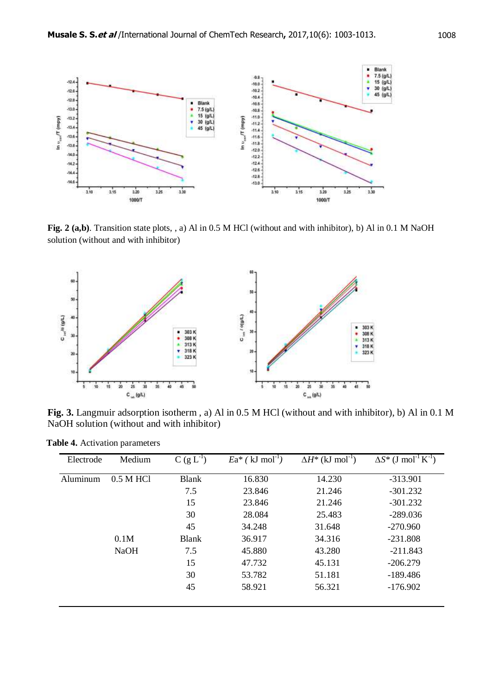

**Fig. 2 (a,b)**. Transition state plots, , a) Al in 0.5 M HCl (without and with inhibitor), b) Al in 0.1 M NaOH solution (without and with inhibitor)



**Fig. 3.** Langmuir adsorption isotherm , a) Al in 0.5 M HCl (without and with inhibitor), b) Al in 0.1 M NaOH solution (without and with inhibitor)

| Electrode | Medium      | $C(g L^{-1})$ | $Ea^*$ (kJ mol <sup>-1</sup> ) | $\Delta H^*$ (kJ mol <sup>-1</sup> ) | $\Delta S^*$ (J mol <sup>-1</sup> K <sup>-1</sup> ) |
|-----------|-------------|---------------|--------------------------------|--------------------------------------|-----------------------------------------------------|
| Aluminum  | $0.5$ M HCl | <b>Blank</b>  | 16.830                         | 14.230                               | $-313.901$                                          |
|           |             | 7.5           | 23.846                         | 21.246                               | $-301.232$                                          |
|           |             | 15            | 23.846                         | 21.246                               | $-301.232$                                          |
|           |             | 30            | 28.084                         | 25.483                               | $-289.036$                                          |
|           |             | 45            | 34.248                         | 31.648                               | $-270.960$                                          |
|           | 0.1M        | <b>Blank</b>  | 36.917                         | 34.316                               | $-231.808$                                          |
|           | <b>NaOH</b> | 7.5           | 45.880                         | 43.280                               | $-211.843$                                          |
|           |             | 15            | 47.732                         | 45.131                               | $-206.279$                                          |
|           |             | 30            | 53.782                         | 51.181                               | $-189.486$                                          |
|           |             | 45            | 58.921                         | 56.321                               | $-176.902$                                          |

 **Table 4.** Activation parameters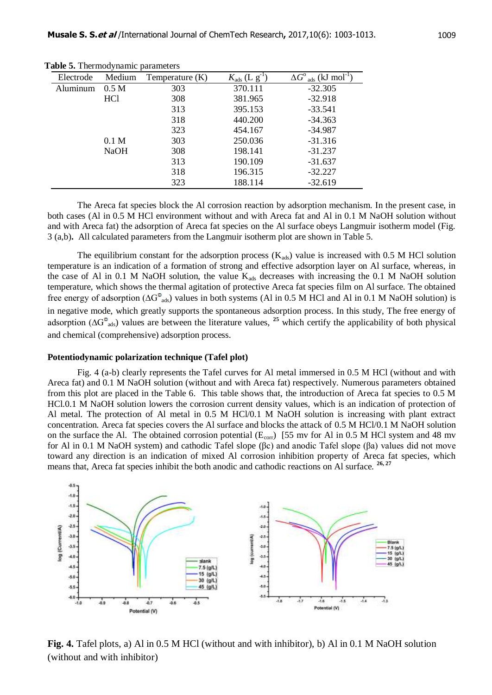| Electrode | Medium           | Temperature (K) | $K_{\text{ads}}$ (L $g^{-1}$ | $\Delta G^{\circ}$ <sub>ads</sub> (kJ mol <sup>-1</sup> ) |
|-----------|------------------|-----------------|------------------------------|-----------------------------------------------------------|
| Aluminum  | 0.5 <sub>M</sub> | 303             | 370.111                      | $-32.305$                                                 |
|           | HC <sub>1</sub>  | 308             | 381.965                      | $-32.918$                                                 |
|           |                  | 313             | 395.153                      | $-33.541$                                                 |
|           |                  | 318             | 440.200                      | $-34.363$                                                 |
|           |                  | 323             | 454.167                      | $-34.987$                                                 |
|           | 0.1 <sub>M</sub> | 303             | 250.036                      | $-31.316$                                                 |
|           | <b>NaOH</b>      | 308             | 198.141                      | $-31.237$                                                 |
|           |                  | 313             | 190.109                      | $-31.637$                                                 |
|           |                  | 318             | 196.315                      | $-32.227$                                                 |
|           |                  | 323             | 188.114                      | $-32.619$                                                 |

 **Table 5.** Thermodynamic parameters

The Areca fat species block the Al corrosion reaction by adsorption mechanism. In the present case, in both cases (Al in 0.5 M HCl environment without and with Areca fat and Al in 0.1 M NaOH solution without and with Areca fat) the adsorption of Areca fat species on the Al surface obeys Langmuir isotherm model (Fig. 3 (a,b)**.** All calculated parameters from the Langmuir isotherm plot are shown in Table 5.

The equilibrium constant for the adsorption process  $(K_{ads})$  value is increased with 0.5 M HCl solution temperature is an indication of a formation of strong and effective adsorption layer on Al surface, whereas, in the case of Al in 0.1 M NaOH solution, the value  $K_{ads}$  decreases with increasing the 0.1 M NaOH solution temperature, which shows the thermal agitation of protective Areca fat species film on Al surface. The obtained free energy of adsorption ( $\Delta G^{\circ}$ <sub>ads</sub>) values in both systems (Al in 0.5 M HCl and Al in 0.1 M NaOH solution) is in negative mode, which greatly supports the spontaneous adsorption process. In this study, The free energy of adsorption (∆G<sup>o</sup><sub>ads</sub>) values are between the literature values, <sup>25</sup> which certify the applicability of both physical and chemical (comprehensive) adsorption process.

#### **Potentiodynamic polarization technique (Tafel plot)**

Fig. 4 (a-b) clearly represents the Tafel curves for Al metal immersed in 0.5 M HCl (without and with Areca fat) and 0.1 M NaOH solution (without and with Areca fat) respectively. Numerous parameters obtained from this plot are placed in the Table 6. This table shows that, the introduction of Areca fat species to 0.5 M HCl.0.1 M NaOH solution lowers the corrosion current density values, which is an indication of protection of Al metal. The protection of Al metal in 0.5 M HCl/0.1 M NaOH solution is increasing with plant extract concentration. Areca fat species covers the Al surface and blocks the attack of 0.5 M HCl/0.1 M NaOH solution on the surface the Al. The obtained corrosion potential ( $E_{corr}$ ) [55 mv for Al in 0.5 M HCl system and 48 mv for Al in 0.1 M NaOH system) and cathodic Tafel slope (βc) and anodic Tafel slope (βa) values did not move toward any direction is an indication of mixed Al corrosion inhibition property of Areca fat species, which means that, Areca fat species inhibit the both anodic and cathodic reactions on Al surface. **26, 27**



**Fig. 4.** Tafel plots, a) Al in 0.5 M HCl (without and with inhibitor), b) Al in 0.1 M NaOH solution (without and with inhibitor)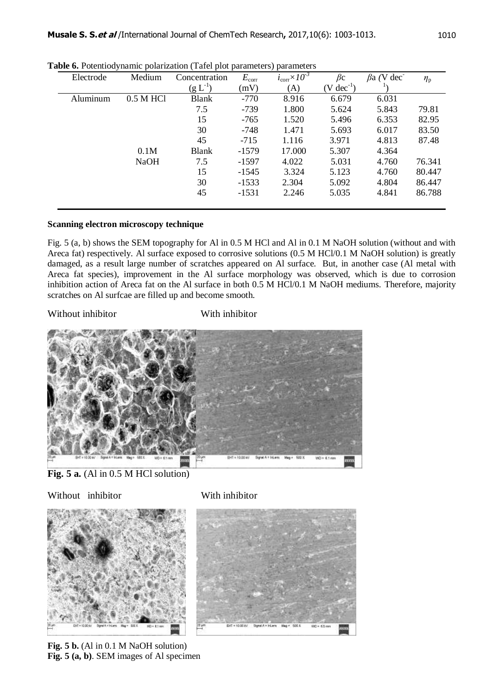| Electrode | Medium      | Concentration | $E_{\rm corr}$ | $i_{\rm corr} \times 10^{-3}$ | $\beta c$              | $\beta$ a (V dec | $\eta_{\rm p}$ |
|-----------|-------------|---------------|----------------|-------------------------------|------------------------|------------------|----------------|
|           |             | $(g L^{-1})$  | (mV)           | (A)                           | $(V \text{ dec}^{-1})$ |                  |                |
| Aluminum  | 0.5 M HCl   | <b>Blank</b>  | $-770$         | 8.916                         | 6.679                  | 6.031            |                |
|           |             | 7.5           | -739           | 1.800                         | 5.624                  | 5.843            | 79.81          |
|           |             | 15            | $-765$         | 1.520                         | 5.496                  | 6.353            | 82.95          |
|           |             | 30            | -748           | 1.471                         | 5.693                  | 6.017            | 83.50          |
|           |             | 45            | $-715$         | 1.116                         | 3.971                  | 4.813            | 87.48          |
|           | 0.1M        | <b>Blank</b>  | $-1579$        | 17.000                        | 5.307                  | 4.364            |                |
|           | <b>NaOH</b> | 7.5           | $-1597$        | 4.022                         | 5.031                  | 4.760            | 76.341         |
|           |             | 15            | $-1545$        | 3.324                         | 5.123                  | 4.760            | 80.447         |
|           |             | 30            | $-1533$        | 2.304                         | 5.092                  | 4.804            | 86.447         |
|           |             | 45            | $-1531$        | 2.246                         | 5.035                  | 4.841            | 86.788         |

**Table 6.** Potentiodynamic polarization (Tafel plot parameters) parameters

#### **Scanning electron microscopy technique**

Fig. 5 (a, b) shows the SEM topography for Al in 0.5 M HCl and Al in 0.1 M NaOH solution (without and with Areca fat) respectively. Al surface exposed to corrosive solutions (0.5 M HCl/0.1 M NaOH solution) is greatly damaged, as a result large number of scratches appeared on Al surface. But, in another case (Al metal with Areca fat species), improvement in the Al surface morphology was observed, which is due to corrosion inhibition action of Areca fat on the Al surface in both 0.5 M HCl/0.1 M NaOH mediums. Therefore, majority scratches on Al surfcae are filled up and become smooth.

#### Without inhibitor **With inhibitor**



**Fig. 5 a.** (Al in 0.5 M HCl solution)

Without inhibitor **With inhibitor** 





Fig. 5 b. (Al in 0.1 M NaOH solution) **Fig. 5 (a, b)**. SEM images of Al specimen

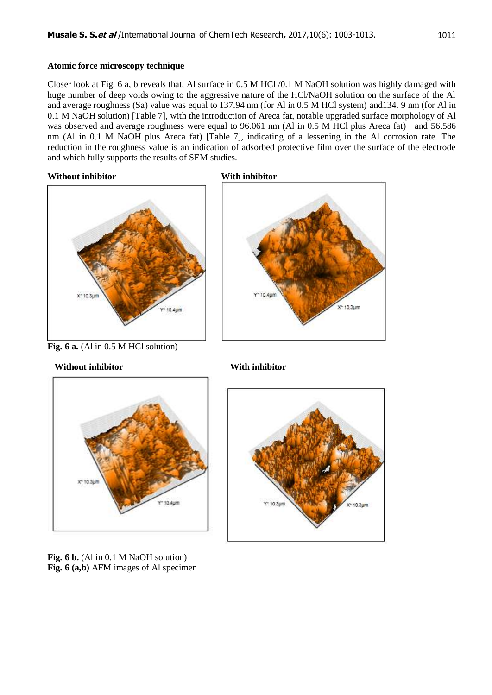#### **Atomic force microscopy technique**

Closer look at Fig. 6 a, b reveals that, Al surface in 0.5 M HCl /0.1 M NaOH solution was highly damaged with huge number of deep voids owing to the aggressive nature of the HCl/NaOH solution on the surface of the Al and average roughness (Sa) value was equal to 137.94 nm (for Al in 0.5 M HCl system) and134. 9 nm (for Al in 0.1 M NaOH solution) [Table 7], with the introduction of Areca fat, notable upgraded surface morphology of Al was observed and average roughness were equal to 96.061 nm (Al in 0.5 M HCl plus Areca fat) and 56.586 nm (Al in 0.1 M NaOH plus Areca fat) [Table 7], indicating of a lessening in the Al corrosion rate. The reduction in the roughness value is an indication of adsorbed protective film over the surface of the electrode and which fully supports the results of SEM studies.

#### **Without inhibitor With inhibitor**



**Fig. 6 a.** (Al in 0.5 M HCl solution)

#### **Without inhibitor With inhibitor**









Fig. 6 b. (Al in 0.1 M NaOH solution) **Fig. 6 (a,b)** AFM images of Al specimen

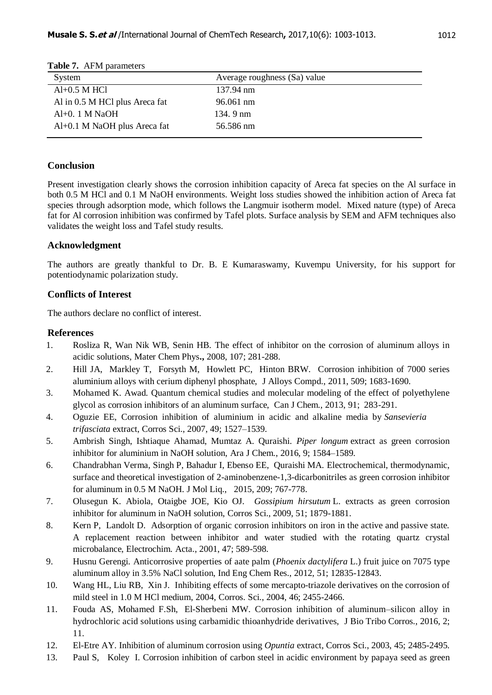| $\frac{1}{2}$                  |                              |  |
|--------------------------------|------------------------------|--|
| System                         | Average roughness (Sa) value |  |
| $Al+0.5$ M HCl                 | 137.94 nm                    |  |
| Al in 0.5 M HCl plus Areca fat | 96.061 nm                    |  |
| $Al+0.1$ M NaOH                | 134.9 nm                     |  |
| Al+0.1 M NaOH plus Areca fat   | 56.586 nm                    |  |
|                                |                              |  |

#### **Table 7.** AFM parameters

#### **Conclusion**

Present investigation clearly shows the corrosion inhibition capacity of Areca fat species on the Al surface in both 0.5 M HCl and 0.1 M NaOH environments. Weight loss studies showed the inhibition action of Areca fat species through adsorption mode, which follows the Langmuir isotherm model. Mixed nature (type) of Areca fat for Al corrosion inhibition was confirmed by Tafel plots. Surface analysis by SEM and AFM techniques also validates the weight loss and Tafel study results.

#### **Acknowledgment**

The authors are greatly thankful to Dr. B. E Kumaraswamy, Kuvempu University, for his support for potentiodynamic polarization study.

#### **Conflicts of Interest**

The authors declare no conflict of interest.

#### **References**

- 1. Rosliza R, Wan Nik WB, Senin HB. The effect of inhibitor on the corrosion of aluminum alloys in acidic solutions, Mater Chem Phys**.,** 2008, 107; 281-288.
- 2. Hill JA, Markley T, Forsyth M, Howlett PC, Hinton BRW. Corrosion inhibition of 7000 series aluminium alloys with cerium diphenyl phosphate, J Alloys Compd., 2011, 509; 1683-1690.
- 3. Mohamed K. Awad. Quantum chemical studies and molecular modeling of the effect of polyethylene glycol as corrosion inhibitors of an aluminum surface, Can J Chem., 2013, 91; 283-291.
- 4. Oguzie EE, Corrosion inhibition of aluminium in acidic and alkaline media by *Sansevieria trifasciata* extract, Corros Sci., 2007, 49; 1527–1539.
- 5. Ambrish Singh, Ishtiaque Ahamad, Mumtaz A. Quraishi. *Piper longum* extract as green corrosion inhibitor for aluminium in NaOH solution, Ara J Chem., 2016, 9; 1584–1589.
- 6. Chandrabhan Verma, Singh P, Bahadur I, Ebenso EE, Quraishi MA. [Electrochemical, thermodynamic,](http://www.sciencedirect.com/science/article/pii/S0167732215301768)  [surface and theoretical investigation of 2-aminobenzene-1,3-dicarbonitriles as green corrosion inhibitor](http://www.sciencedirect.com/science/article/pii/S0167732215301768)  [for aluminum in 0.5 M NaOH.](http://www.sciencedirect.com/science/article/pii/S0167732215301768) J Mol Liq., 2015, 209; 767-778.
- 7. Olusegun K. Abiola, Otaigbe JOE, Kio OJ. *Gossipium hirsutum* L. extracts as green corrosion inhibitor for aluminum in NaOH solution, Corros Sci., 2009, 51; 1879-1881.
- 8. Kern P, Landolt D. Adsorption of organic corrosion inhibitors on iron in the active and passive state. A replacement reaction between inhibitor and water studied with the rotating quartz crystal microbalance, Electrochim. Acta., 2001, 47; 589-598.
- 9. Husnu Gerengi. Anticorrosive properties of aate palm (*Phoenix dactylifera* L.) fruit juice on 7075 type aluminum alloy in 3.5% NaCl solution, Ind Eng Chem Res., 2012, 51; 12835-12843.
- 10. Wang HL, Liu RB, Xin J. [Inhibiting effects of some mercapto-triazole derivatives on the corrosion of](http://www.sciencedirect.com/science/article/pii/S0010938X04000484)  [mild steel in 1.0 M HCl medium,](http://www.sciencedirect.com/science/article/pii/S0010938X04000484) 2004, Corros. Sci., 2004, 46; 2455-2466.
- 11. [Fouda](http://link.springer.com/search?facet-creator=%22A.+S.+Fouda%22) AS, [Mohamed](http://link.springer.com/search?facet-creator=%22F.+Sh.+Mohamed%22) F.Sh, [El-Sherbeni](http://link.springer.com/search?facet-creator=%22M.+W.+El-Sherbeni%22) MW. Corrosion inhibition of aluminum–silicon alloy in hydrochloric acid solutions using carbamidic thioanhydride derivatives, J Bio Tribo Corros., 2016, 2; 11.
- 12. El-Etre AY. [Inhibition of aluminum corrosion using](http://www.sciencedirect.com/science/article/pii/S0010938X03000660) *Opuntia* extract, Corros Sci., 2003, 45; 2485-2495.
- 13. Paul S, Koley I. Corrosion inhibition of carbon steel in acidic environment by papaya seed as green